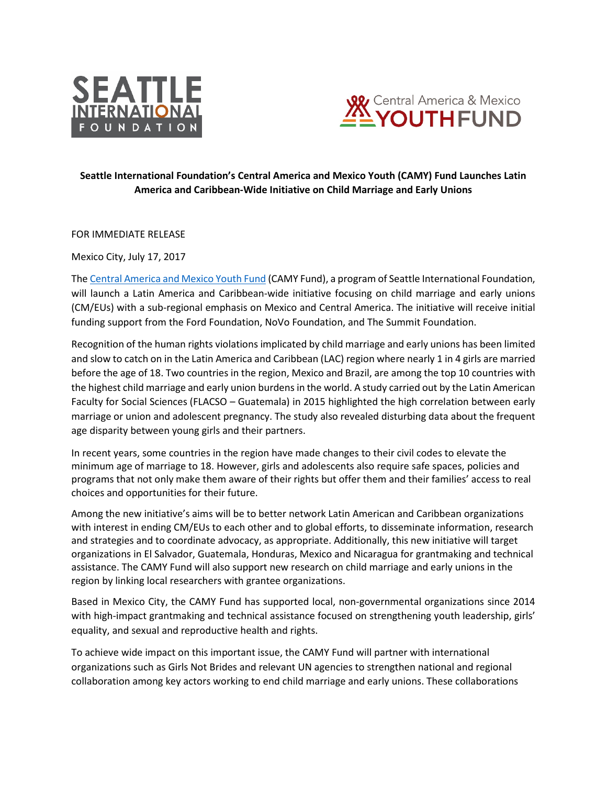



## **Seattle International Foundation's Central America and Mexico Youth (CAMY) Fund Launches Latin America and Caribbean-Wide Initiative on Child Marriage and Early Unions**

FOR IMMEDIATE RELEASE

Mexico City, July 17, 2017

Th[e Central America and Mexico Youth Fund](http://www.camyfund.org/en/) (CAMY Fund), a program of Seattle International Foundation, will launch a Latin America and Caribbean-wide initiative focusing on child marriage and early unions (CM/EUs) with a sub-regional emphasis on Mexico and Central America. The initiative will receive initial funding support from the Ford Foundation, NoVo Foundation, and The Summit Foundation.

Recognition of the human rights violations implicated by child marriage and early unions has been limited and slow to catch on in the Latin America and Caribbean (LAC) region where nearly 1 in 4 girls are married before the age of 18. Two countries in the region, Mexico and Brazil, are among the top 10 countries with the highest child marriage and early union burdens in the world. A study carried out by the Latin American Faculty for Social Sciences (FLACSO – Guatemala) in 2015 highlighted the high correlation between early marriage or union and adolescent pregnancy. The study also revealed disturbing data about the frequent age disparity between young girls and their partners.

In recent years, some countries in the region have made changes to their civil codes to elevate the minimum age of marriage to 18. However, girls and adolescents also require safe spaces, policies and programs that not only make them aware of their rights but offer them and their families' access to real choices and opportunities for their future.

Among the new initiative's aims will be to better network Latin American and Caribbean organizations with interest in ending CM/EUs to each other and to global efforts, to disseminate information, research and strategies and to coordinate advocacy, as appropriate. Additionally, this new initiative will target organizations in El Salvador, Guatemala, Honduras, Mexico and Nicaragua for grantmaking and technical assistance. The CAMY Fund will also support new research on child marriage and early unions in the region by linking local researchers with grantee organizations.

Based in Mexico City, the CAMY Fund has supported local, non-governmental organizations since 2014 with high-impact grantmaking and technical assistance focused on strengthening youth leadership, girls' equality, and sexual and reproductive health and rights.

To achieve wide impact on this important issue, the CAMY Fund will partner with international organizations such as Girls Not Brides and relevant UN agencies to strengthen national and regional collaboration among key actors working to end child marriage and early unions. These collaborations